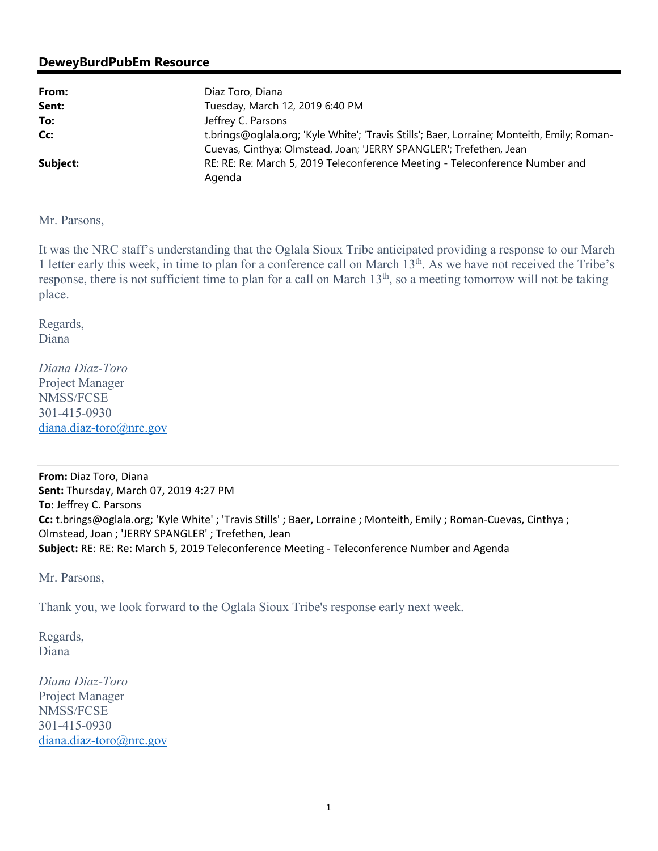## **DeweyBurdPubEm Resource**

| From:    | Diaz Toro, Diana                                                                            |
|----------|---------------------------------------------------------------------------------------------|
| Sent:    | Tuesday, March 12, 2019 6:40 PM                                                             |
| To:      | Jeffrey C. Parsons                                                                          |
| Cc:      | t.brings@oglala.org; 'Kyle White'; 'Travis Stills'; Baer, Lorraine; Monteith, Emily; Roman- |
|          | Cuevas, Cinthya; Olmstead, Joan; 'JERRY SPANGLER'; Trefethen, Jean                          |
| Subject: | RE: RE: Re: March 5, 2019 Teleconference Meeting - Teleconference Number and<br>Agenda      |

Mr. Parsons,

It was the NRC staff's understanding that the Oglala Sioux Tribe anticipated providing a response to our March 1 letter early this week, in time to plan for a conference call on March 13th. As we have not received the Tribe's response, there is not sufficient time to plan for a call on March 13<sup>th</sup>, so a meeting tomorrow will not be taking place.

Regards, Diana

*Diana Diaz-Toro*  Project Manager NMSS/FCSE 301-415-0930 diana.diaz-toro@nrc.gov

**From:** Diaz Toro, Diana **Sent:** Thursday, March 07, 2019 4:27 PM **To:** Jeffrey C. Parsons **Cc:** t.brings@oglala.org; 'Kyle White' ; 'Travis Stills' ; Baer, Lorraine ; Monteith, Emily ; Roman-Cuevas, Cinthya ; Olmstead, Joan ; 'JERRY SPANGLER' ; Trefethen, Jean **Subject:** RE: RE: Re: March 5, 2019 Teleconference Meeting - Teleconference Number and Agenda

Mr. Parsons,

Thank you, we look forward to the Oglala Sioux Tribe's response early next week.

Regards, Diana

*Diana Diaz-Toro*  Project Manager NMSS/FCSE 301-415-0930 diana.diaz-toro@nrc.gov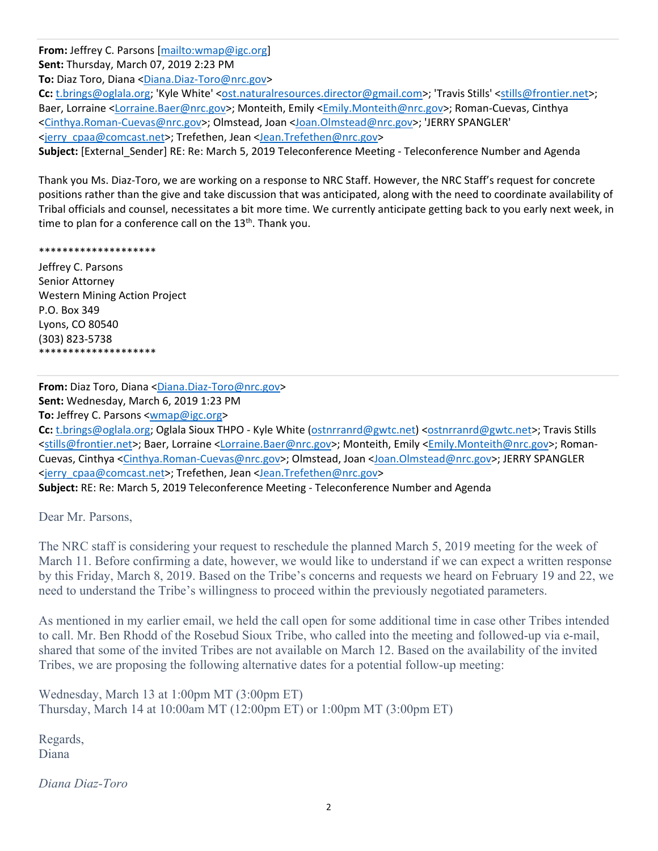**From:** Jeffrey C. Parsons [mailto:wmap@igc.org] **Sent:** Thursday, March 07, 2019 2:23 PM **To:** Diaz Toro, Diana <Diana.Diaz-Toro@nrc.gov> Cc: t.brings@oglala.org; 'Kyle White' <ost.naturalresources.director@gmail.com>; 'Travis Stills' <stills@frontier.net>; Baer, Lorraine <Lorraine.Baer@nrc.gov>; Monteith, Emily <Emily.Monteith@nrc.gov>; Roman-Cuevas, Cinthya <Cinthya.Roman-Cuevas@nrc.gov>; Olmstead, Joan <Joan.Olmstead@nrc.gov>; 'JERRY SPANGLER' <jerry\_cpaa@comcast.net>; Trefethen, Jean <Jean.Trefethen@nrc.gov> **Subject:** [External\_Sender] RE: Re: March 5, 2019 Teleconference Meeting - Teleconference Number and Agenda

Thank you Ms. Diaz-Toro, we are working on a response to NRC Staff. However, the NRC Staff's request for concrete positions rather than the give and take discussion that was anticipated, along with the need to coordinate availability of Tribal officials and counsel, necessitates a bit more time. We currently anticipate getting back to you early next week, in time to plan for a conference call on the  $13<sup>th</sup>$ . Thank you.

## \*\*\*\*\*\*\*\*\*\*\*\*\*\*\*\*\*\*\*\*

Jeffrey C. Parsons Senior Attorney Western Mining Action Project P.O. Box 349 Lyons, CO 80540 (303) 823-5738 \*\*\*\*\*\*\*\*\*\*\*\*\*\*\*\*\*\*\*\*

**From:** Diaz Toro, Diana <Diana.Diaz-Toro@nrc.gov> **Sent:** Wednesday, March 6, 2019 1:23 PM **To:** Jeffrey C. Parsons <wmap@igc.org>

Cc: t.brings@oglala.org; Oglala Sioux THPO - Kyle White (ostnrranrd@gwtc.net) <ostnrranrd@gwtc.net>; Travis Stills <stills@frontier.net>; Baer, Lorraine <Lorraine.Baer@nrc.gov>; Monteith, Emily <Emily.Monteith@nrc.gov>; Roman-Cuevas, Cinthya <Cinthya.Roman-Cuevas@nrc.gov>; Olmstead, Joan <Joan.Olmstead@nrc.gov>; JERRY SPANGLER <jerry\_cpaa@comcast.net>; Trefethen, Jean <Jean.Trefethen@nrc.gov>

**Subject:** RE: Re: March 5, 2019 Teleconference Meeting - Teleconference Number and Agenda

Dear Mr. Parsons,

The NRC staff is considering your request to reschedule the planned March 5, 2019 meeting for the week of March 11. Before confirming a date, however, we would like to understand if we can expect a written response by this Friday, March 8, 2019. Based on the Tribe's concerns and requests we heard on February 19 and 22, we need to understand the Tribe's willingness to proceed within the previously negotiated parameters.

As mentioned in my earlier email, we held the call open for some additional time in case other Tribes intended to call. Mr. Ben Rhodd of the Rosebud Sioux Tribe, who called into the meeting and followed-up via e-mail, shared that some of the invited Tribes are not available on March 12. Based on the availability of the invited Tribes, we are proposing the following alternative dates for a potential follow-up meeting:

Wednesday, March 13 at 1:00pm MT (3:00pm ET) Thursday, March 14 at 10:00am MT (12:00pm ET) or 1:00pm MT (3:00pm ET)

Regards, Diana

*Diana Diaz-Toro*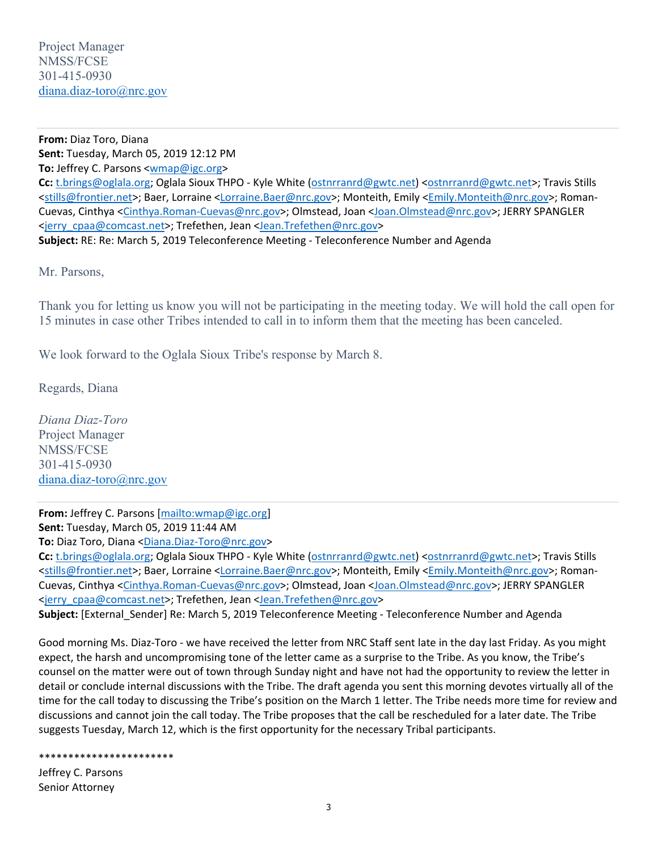**From:** Diaz Toro, Diana **Sent:** Tuesday, March 05, 2019 12:12 PM **To:** Jeffrey C. Parsons <wmap@igc.org> **Cc:** t.brings@oglala.org; Oglala Sioux THPO - Kyle White (ostnrranrd@gwtc.net) <ostnrranrd@gwtc.net>; Travis Stills <stills@frontier.net>; Baer, Lorraine <Lorraine.Baer@nrc.gov>; Monteith, Emily <Emily.Monteith@nrc.gov>; Roman-Cuevas, Cinthya <Cinthya.Roman-Cuevas@nrc.gov>; Olmstead, Joan <Joan.Olmstead@nrc.gov>; JERRY SPANGLER <jerry\_cpaa@comcast.net>; Trefethen, Jean <Jean.Trefethen@nrc.gov> **Subject:** RE: Re: March 5, 2019 Teleconference Meeting - Teleconference Number and Agenda

Mr. Parsons,

Thank you for letting us know you will not be participating in the meeting today. We will hold the call open for 15 minutes in case other Tribes intended to call in to inform them that the meeting has been canceled.

We look forward to the Oglala Sioux Tribe's response by March 8.

Regards, Diana

*Diana Diaz-Toro*  Project Manager NMSS/FCSE 301-415-0930 diana.diaz-toro@nrc.gov

**From:** Jeffrey C. Parsons [mailto:wmap@igc.org] **Sent:** Tuesday, March 05, 2019 11:44 AM

**To:** Diaz Toro, Diana <Diana.Diaz-Toro@nrc.gov>

**Cc:** t.brings@oglala.org; Oglala Sioux THPO - Kyle White (ostnrranrd@gwtc.net) <ostnrranrd@gwtc.net>; Travis Stills <stills@frontier.net>; Baer, Lorraine <Lorraine.Baer@nrc.gov>; Monteith, Emily <Emily.Monteith@nrc.gov>; Roman-Cuevas, Cinthya <Cinthya.Roman-Cuevas@nrc.gov>; Olmstead, Joan <Joan.Olmstead@nrc.gov>; JERRY SPANGLER <jerry\_cpaa@comcast.net>; Trefethen, Jean <Jean.Trefethen@nrc.gov>

**Subject:** [External\_Sender] Re: March 5, 2019 Teleconference Meeting - Teleconference Number and Agenda

Good morning Ms. Diaz-Toro - we have received the letter from NRC Staff sent late in the day last Friday. As you might expect, the harsh and uncompromising tone of the letter came as a surprise to the Tribe. As you know, the Tribe's counsel on the matter were out of town through Sunday night and have not had the opportunity to review the letter in detail or conclude internal discussions with the Tribe. The draft agenda you sent this morning devotes virtually all of the time for the call today to discussing the Tribe's position on the March 1 letter. The Tribe needs more time for review and discussions and cannot join the call today. The Tribe proposes that the call be rescheduled for a later date. The Tribe suggests Tuesday, March 12, which is the first opportunity for the necessary Tribal participants.

\*\*\*\*\*\*\*\*\*\*\*\*\*\*\*\*\*\*\*\*\*\*\*

Jeffrey C. Parsons Senior Attorney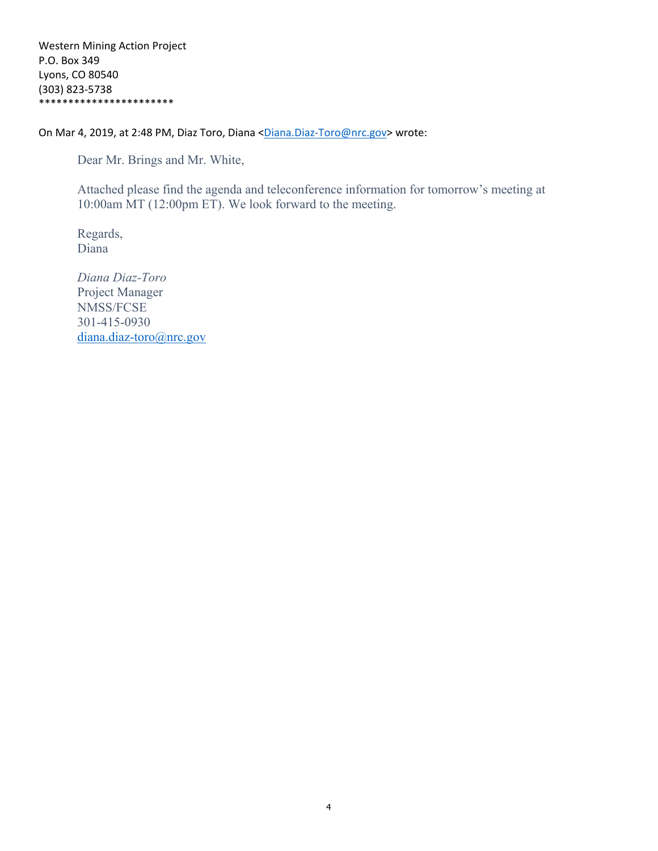On Mar 4, 2019, at 2:48 PM, Diaz Toro, Diana <Diana.Diaz-Toro@nrc.gov> wrote:

Dear Mr. Brings and Mr. White,

Attached please find the agenda and teleconference information for tomorrow's meeting at 10:00am MT (12:00pm ET). We look forward to the meeting.

Regards, Diana

*Diana Diaz-Toro* Project Manager NMSS/FCSE 301-415-0930 diana.diaz-toro@nrc.gov